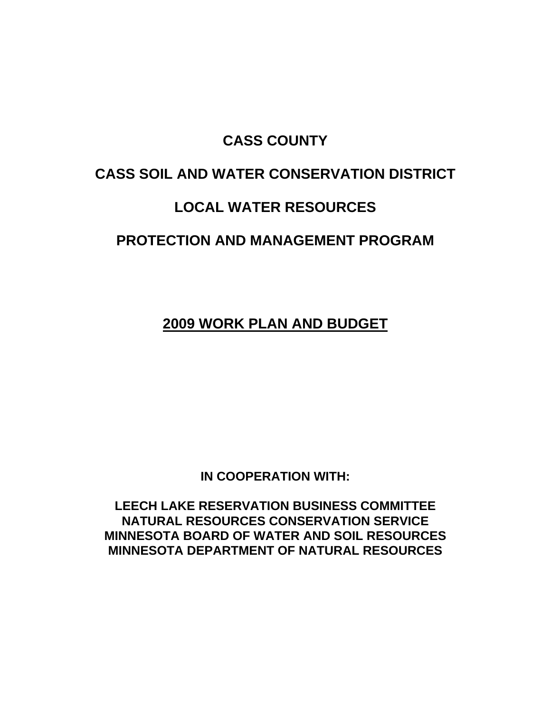## **CASS COUNTY**

## **CASS SOIL AND WATER CONSERVATION DISTRICT**

## **LOCAL WATER RESOURCES**

## **PROTECTION AND MANAGEMENT PROGRAM**

**2009 WORK PLAN AND BUDGET**

**IN COOPERATION WITH:** 

**LEECH LAKE RESERVATION BUSINESS COMMITTEE NATURAL RESOURCES CONSERVATION SERVICE MINNESOTA BOARD OF WATER AND SOIL RESOURCES MINNESOTA DEPARTMENT OF NATURAL RESOURCES**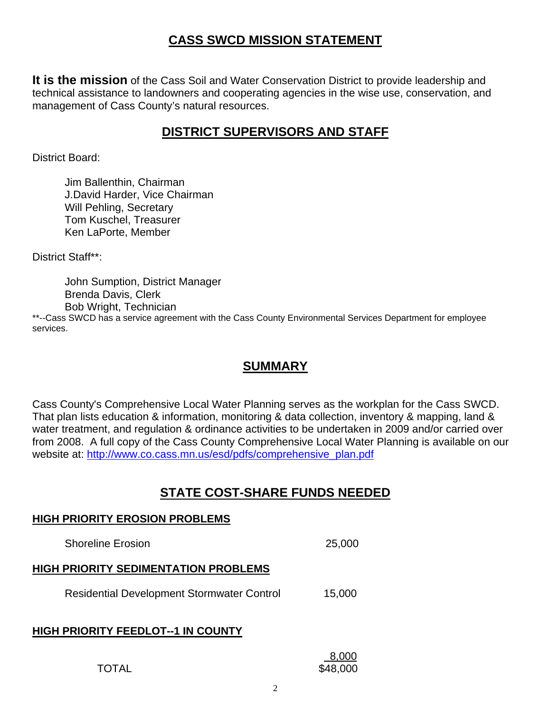#### **CASS SWCD MISSION STATEMENT**

**It is the mission** of the Cass Soil and Water Conservation District to provide leadership and technical assistance to landowners and cooperating agencies in the wise use, conservation, and management of Cass County's natural resources.

#### **DISTRICT SUPERVISORS AND STAFF**

District Board:

 Jim Ballenthin, Chairman J.David Harder, Vice Chairman Will Pehling, Secretary Tom Kuschel, Treasurer Ken LaPorte, Member

District Staff\*\*:

 John Sumption, District Manager Brenda Davis, Clerk Bob Wright, Technician

**HIGH PRIORITY EROSION PROBLEMS**

\*\*--Cass SWCD has a service agreement with the Cass County Environmental Services Department for employee services.

#### **SUMMARY**

Cass County's Comprehensive Local Water Planning serves as the workplan for the Cass SWCD. That plan lists education & information, monitoring & data collection, inventory & mapping, land & water treatment, and regulation & ordinance activities to be undertaken in 2009 and/or carried over from 2008. A full copy of the Cass County Comprehensive Local Water Planning is available on our website at: http://www.co.cass.mn.us/esd/pdfs/comprehensive\_plan.pdf

#### **STATE COST-SHARE FUNDS NEEDED**

# Shoreline Erosion 25,000 **HIGH PRIORITY SEDIMENTATION PROBLEMS** Residential Development Stormwater Control 15,000 **HIGH PRIORITY FEEDLOT--1 IN COUNTY**  $8,000$ TOTAL \$48,000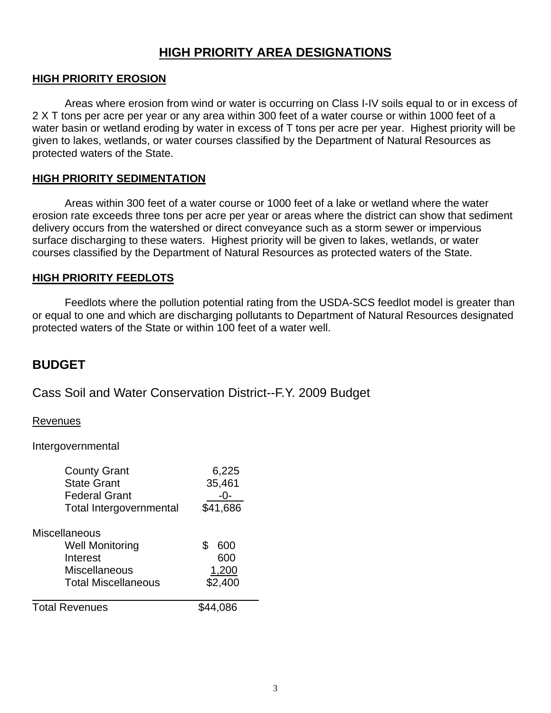#### **HIGH PRIORITY AREA DESIGNATIONS**

#### **HIGH PRIORITY EROSION**

 Areas where erosion from wind or water is occurring on Class I-IV soils equal to or in excess of 2 X T tons per acre per year or any area within 300 feet of a water course or within 1000 feet of a water basin or wetland eroding by water in excess of T tons per acre per year. Highest priority will be given to lakes, wetlands, or water courses classified by the Department of Natural Resources as protected waters of the State.

#### **HIGH PRIORITY SEDIMENTATION**

 Areas within 300 feet of a water course or 1000 feet of a lake or wetland where the water erosion rate exceeds three tons per acre per year or areas where the district can show that sediment delivery occurs from the watershed or direct conveyance such as a storm sewer or impervious surface discharging to these waters. Highest priority will be given to lakes, wetlands, or water courses classified by the Department of Natural Resources as protected waters of the State.

#### **HIGH PRIORITY FEEDLOTS**

 Feedlots where the pollution potential rating from the USDA-SCS feedlot model is greater than or equal to one and which are discharging pollutants to Department of Natural Resources designated protected waters of the State or within 100 feet of a water well.

#### **BUDGET**

Cass Soil and Water Conservation District--F.Y. 2009 Budget

#### Revenues

Intergovernmental

| <b>County Grant</b>            | 6,225     |
|--------------------------------|-----------|
| <b>State Grant</b>             | 35,461    |
| <b>Federal Grant</b>           |           |
| <b>Total Intergovernmental</b> | \$41,686  |
| <b>Miscellaneous</b>           |           |
| <b>Well Monitoring</b>         | \$<br>600 |
| Interest                       | 600       |
| Miscellaneous                  | 1,200     |
| <b>Total Miscellaneous</b>     | \$2,400   |
| <b>Total Revenues</b>          | 14.086    |